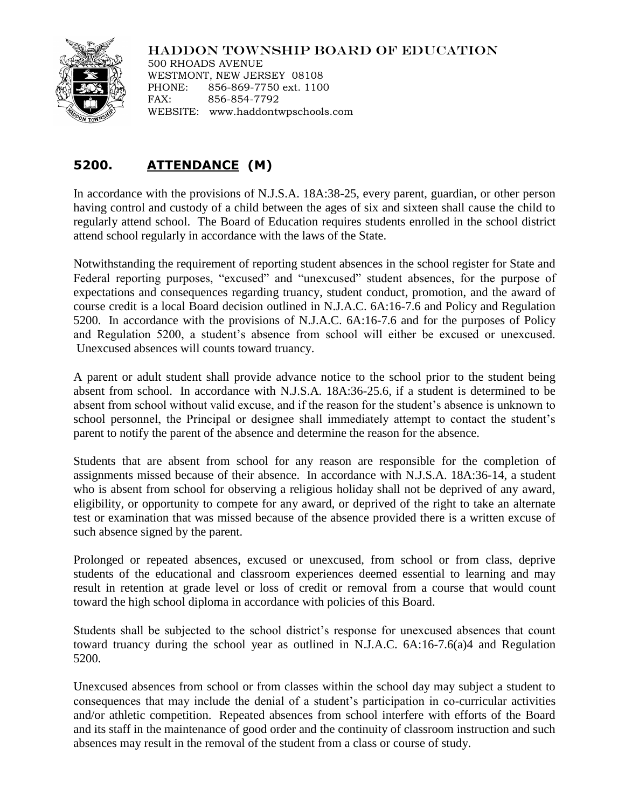## HADDON TOWNSHIP BOARD OF EDUCATION



500 RHOADS AVENUE WESTMONT, NEW JERSEY 08108 PHONE: 856-869-7750 ext. 1100 FAX: 856-854-7792 WEBSITE: www.haddontwpschools.com

## **5200. ATTENDANCE (M)**

In accordance with the provisions of N.J.S.A. 18A:38-25, every parent, guardian, or other person having control and custody of a child between the ages of six and sixteen shall cause the child to regularly attend school. The Board of Education requires students enrolled in the school district attend school regularly in accordance with the laws of the State.

Notwithstanding the requirement of reporting student absences in the school register for State and Federal reporting purposes, "excused" and "unexcused" student absences, for the purpose of expectations and consequences regarding truancy, student conduct, promotion, and the award of course credit is a local Board decision outlined in N.J.A.C. 6A:16-7.6 and Policy and Regulation 5200. In accordance with the provisions of N.J.A.C. 6A:16-7.6 and for the purposes of Policy and Regulation 5200, a student's absence from school will either be excused or unexcused. Unexcused absences will counts toward truancy.

A parent or adult student shall provide advance notice to the school prior to the student being absent from school. In accordance with N.J.S.A. 18A:36-25.6, if a student is determined to be absent from school without valid excuse, and if the reason for the student's absence is unknown to school personnel, the Principal or designee shall immediately attempt to contact the student's parent to notify the parent of the absence and determine the reason for the absence.

Students that are absent from school for any reason are responsible for the completion of assignments missed because of their absence. In accordance with N.J.S.A. 18A:36-14, a student who is absent from school for observing a religious holiday shall not be deprived of any award, eligibility, or opportunity to compete for any award, or deprived of the right to take an alternate test or examination that was missed because of the absence provided there is a written excuse of such absence signed by the parent.

Prolonged or repeated absences, excused or unexcused, from school or from class, deprive students of the educational and classroom experiences deemed essential to learning and may result in retention at grade level or loss of credit or removal from a course that would count toward the high school diploma in accordance with policies of this Board.

Students shall be subjected to the school district's response for unexcused absences that count toward truancy during the school year as outlined in N.J.A.C. 6A:16-7.6(a)4 and Regulation 5200.

Unexcused absences from school or from classes within the school day may subject a student to consequences that may include the denial of a student's participation in co-curricular activities and/or athletic competition. Repeated absences from school interfere with efforts of the Board and its staff in the maintenance of good order and the continuity of classroom instruction and such absences may result in the removal of the student from a class or course of study.